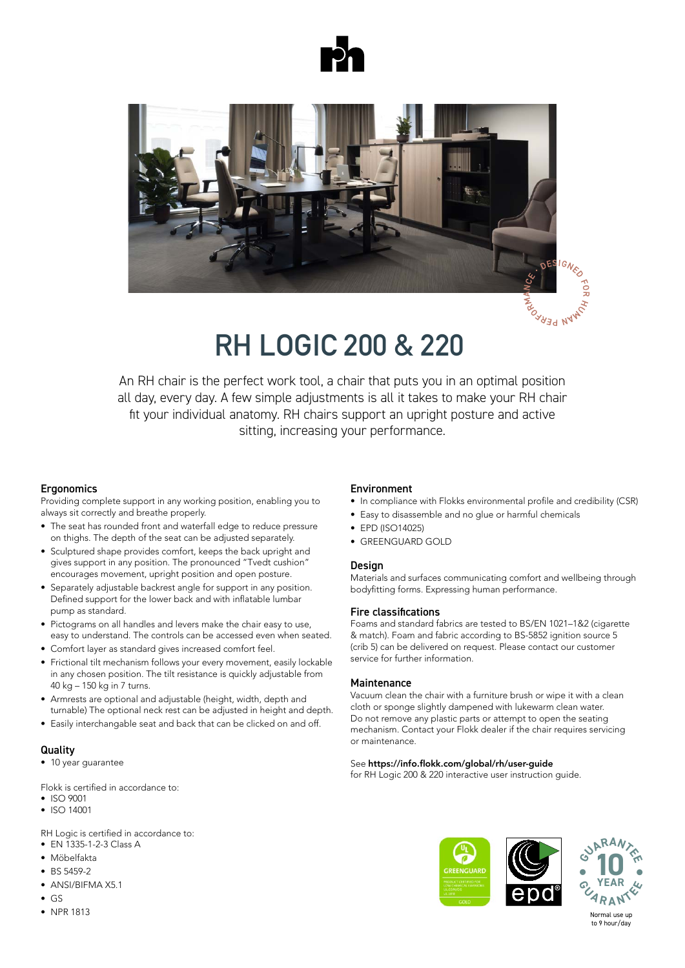



# **RH LOGIC 200 & 220**

An RH chair is the perfect work tool, a chair that puts you in an optimal position An RH chair is the perfect work tool, a chair that puts you in an optimal position<br>all day, every day. A few simple adjustments is all it takes to make your RH chair fit your individual anatomy. RH chairs support an upright posture and active ett aktives samt ökare.<br>Upprätt position och ett aktivit sitt aktivit sitt aktivit sitt aktivitet.

### Ergonomics in die Bewegungsfreiheit. Die gewegungsfreiheit werden die Spanische Bewegungsfreiheit. Die gewegung

Providing complete support in any working position, enabling you to always sit correctly and breathe properly.

- $\bullet$  The seat has rounded front and waterfall edge to reduce pressure on thighs. The depth of the seat can be adjusted separately.
- Sculptured shape provides comfort, keeps the back upright and gives support in any position. The pronounced "Tvedt cushion" encourages movement, upright position and open posture.
- Separately adjustable backrest angle for support in any position. Defined support for the lower back and with inflatable lumbar pump as standard. The svanken wird zusätzlich durch eine luftgeregelte Lordosenstütze als als als durch eine l
- Pictograms on all handles and levers make the chair easy to use, easy to understand. The controls can be accessed even when seated.
- Comfort layer as standard gives increased comfort feel.
- · Frictional tilt mechanism follows your every movement, easily lockable in any chosen position. The tilt resistance is quickly adjustable from  $40 \text{ kg} - 150 \text{ kg}$  in 7 turns.
- Holder is a set af measure.<br>• Armrests are optional and adjustable (height, width, depth and turnable) The optional neck rest can be adjusted in height and depth. • Armrests are optional and adjustable (height, width, depth and
- Easily interchangable seat and back that can be clicked on and off. Lasny miter

#### Quality Nakkestøtten (tilvalg) kan justeres i både højde og dybde  $\bullet$  Die optional erhältlichen Armlehnen sind höhen-, breiten- und höhen-, breiten- und höhen-, breiten- und höhen-, breiten- und höhen-, breiten- und höhen-, breiten- und höhen-, breiten- und höhen-, breiten- und höhen-, tiefenverstellbar. Die 3D-Armlehnenauflage lässt sich zu dem vor, die 3D-Armlehnen vor, die 3D-Armlehnen vor,

 $\bullet$  10 year guarantee

Flokk is certified in accordance to: Flokk is certified in accordance to:

- ISO 9001 ISO 9001 ausgetauscht und mit einem Klick angebracht oder gelöst werden. Die einem Klick angebracht oder gelöst werden.<br>Die einem Klick angebracht oder gelöst werden. Die eine Staatsmann von der Staatsmann von der Staatsmann von d
- ISO 9001<br>• ISO 14001  $\bullet$  ISO 14001

RH Logic is certified in accordance to: RH Logic is certified in accord

- EN 1335-1-2-3 Class A
- $\bullet$  Möbelfakta  $\frac{1}{2}$
- $\bullet$  BS 5459-2  $\bullet$  BS 3439-4
- ANSI/BIFMA X5.1
- $\bullet$  GS  $\bullet$  NPR 1813 • NPR 1813 • NPR 1813

## Environment

- In compliance with Flokks environmental profile and credibility (CSR)
- Easy to disassemble and no glue or harmful chemicals
- $\bullet$  EPD (ISO14025)
- GREENGUARD GOLD **is unter-stützte das Unter-**

### Design • Einfache Demontage, kein Einsatz von Klebstoffen oder schädlichen

Materials and surfaces communicating comfort and wellbeing through bodyfitting forms. Expressing human performance.

## Fire classifications

Foams and standard fabrics are tested to BS/EN 1021–1&2 (cigarette & match). Foam and fabric according to BS-5852 ignition source 5 (crib 5) can be delivered on request. Please contact our customer service for further information.

## Maintenance

Vacuum clean the chair with a furniture brush or wipe it with a clean cloth or sponge slightly dampened with lukewarm clean water. Do not remove any plastic parts or attempt to open the seating mechanism. Contact your Flokk dealer if the chair requires servicing or maintenance.<br>
Kontakt din Flokk for service eller, hvis der er brug for service eller, hvis der er brug for service eller e

# See **https://info.flokk.com/global/rh/user-guide**

see **https://info.flokk.com/global/rh/user-guide**<br>for RH Logic 200 & 220 interactive user instruction guide. mit einem sauberen, wei der Schwammen Siehen Tuch oder Siehen Siehen. Aus der Schwamm aber Schwamm ab. Achten S



to 9 hour/day